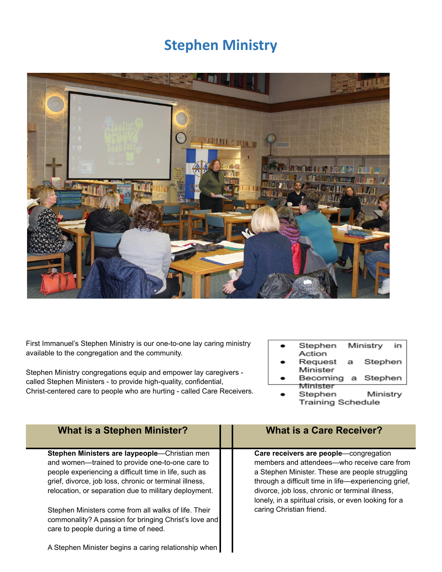## **Stephen Ministry**



First Immanuel's Stephen Ministry is our one-to-one lay caring ministry available to the congregation and the community.

Stephen Ministry congregations equip and empower lay caregivers called Stephen Ministers - to provide high-quality, confidential, Christ-centered care to people who are hurting - called Care Receivers.

- Stephen Ministry in Action
- Request Stephen a Minister
- Stephen Becoming a Minister
	- Ministry Stephen **Training Schedule**

| <b>What is a Stephen Minister?</b>                                                                                                                                                                                                                                           | <b>What is a Care Receiver?</b>                                                                                                                                                                                                                                                                             |
|------------------------------------------------------------------------------------------------------------------------------------------------------------------------------------------------------------------------------------------------------------------------------|-------------------------------------------------------------------------------------------------------------------------------------------------------------------------------------------------------------------------------------------------------------------------------------------------------------|
| Stephen Ministers are laypeople-Christian men<br>and women-trained to provide one-to-one care to<br>people experiencing a difficult time in life, such as<br>grief, divorce, job loss, chronic or terminal illness,<br>relocation, or separation due to military deployment. | Care receivers are people-congregation<br>members and attendees—who receive care from<br>a Stephen Minister. These are people struggling<br>through a difficult time in life-experiencing grief,<br>divorce, job loss, chronic or terminal illness,<br>lonely, in a spiritual crisis, or even looking for a |
| Stephen Ministers come from all walks of life. Their<br>commonality? A passion for bringing Christ's love and<br>care to people during a time of need.                                                                                                                       | caring Christian friend.                                                                                                                                                                                                                                                                                    |

A Stephen Minister begins a caring relationship when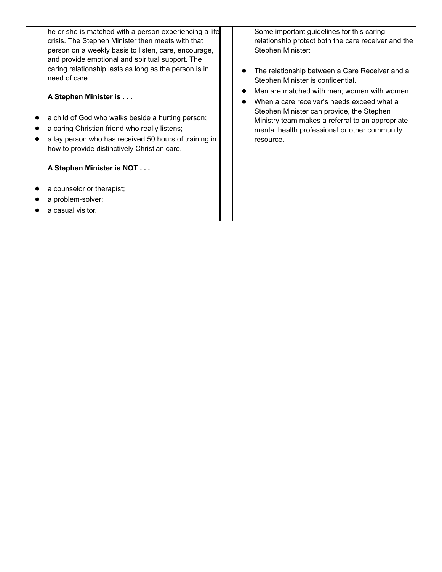he or she is matched with a person experiencing a life crisis. The Stephen Minister then meets with that person on a weekly basis to listen, care, encourage, and provide emotional and spiritual support. The caring relationship lasts as long as the person is in need of care.

#### **A Stephen Minister is . . .**

- a child of God who walks beside a hurting person;
- a caring Christian friend who really listens;
- a lay person who has received 50 hours of training in how to provide distinctively Christian care.

#### **A Stephen Minister is NOT . . .**

- a counselor or therapist;
- a problem-solver;
- a casual visitor.

Some important guidelines for this caring relationship protect both the care receiver and the Stephen Minister:

- The relationship between a Care Receiver and a Stephen Minister is confidential.
- Men are matched with men; women with women.
- When a care receiver's needs exceed what a Stephen Minister can provide, the Stephen Ministry team makes a referral to an appropriate mental health professional or other community resource.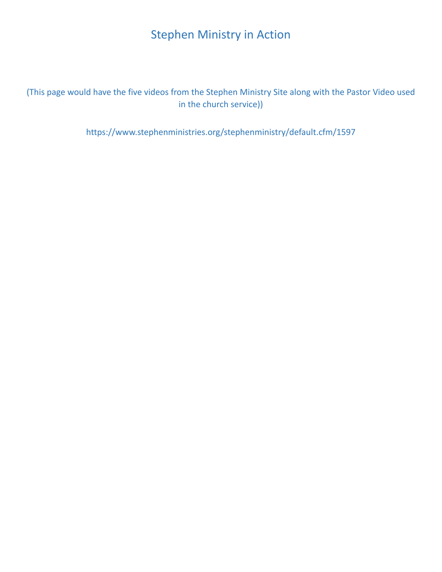#### Stephen Ministry in Action

(This page would have the five videos from the Stephen Ministry Site along with the Pastor Video used in the church service))

https://www.stephenministries.org/stephenministry/default.cfm/1597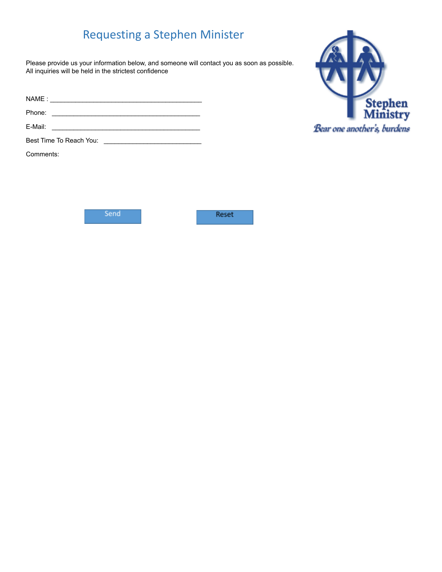### Requesting a Stephen Minister

Please provide us your information below, and someone will contact you as soon as possible. All inquiries will be held in the strictest confidence

| NAME:  |  |  |
|--------|--|--|
| Phone: |  |  |

E-Mail: \_\_\_\_\_\_\_\_\_\_\_\_\_\_\_\_\_\_\_\_\_\_\_\_\_\_\_\_\_\_\_\_\_\_\_\_\_\_\_\_\_

Best Time To Reach You: \_\_\_\_\_\_\_\_\_\_\_\_\_\_\_\_\_\_\_\_\_\_\_\_\_\_\_

Comments:



Send

Reset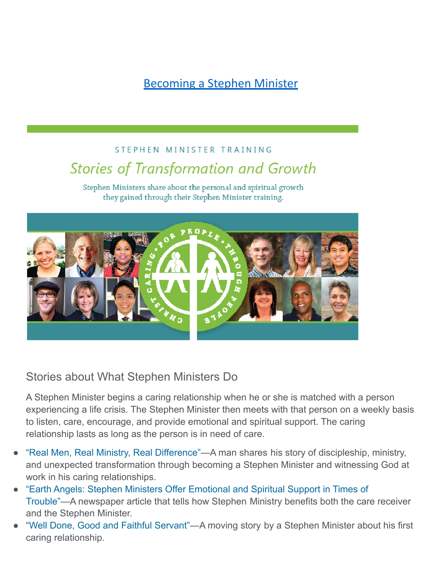[Becoming a Stephen Minister](https://issuu.com/stephenministries/docs/stephen_minister_stories_booklet_b94f3851594508/16)

## STEPHEN MINISTER TRAINING **Stories of Transformation and Growth**

Stephen Ministers share about the personal and spiritual growth they gained through their Stephen Minister training.



#### Stories about What Stephen Ministers Do

A Stephen Minister begins a caring relationship when he or she is matched with a person experiencing a life crisis. The Stephen Minister then meets with that person on a weekly basis to listen, care, encourage, and provide emotional and spiritual support. The caring relationship lasts as long as the person is in need of care.

- "Real Men, Real Ministry, Real [Difference"](https://www.stephenministries.org/ssdownload/pdf_counters/RealMenRealMinistryRealDifference.cfm)—A man shares his story of discipleship, ministry, and unexpected transformation through becoming a Stephen Minister and witnessing God at work in his caring relationships.
- "Earth Angels: Stephen Ministers Offer [Emotional](https://www.stephenministries.org/ssdownload/pdf_counters/NaplesNewsArticle.cfm) and Spiritual Support in Times of [Trouble"—](https://www.stephenministries.org/ssdownload/pdf_counters/NaplesNewsArticle.cfm)A newspaper article that tells how Stephen Ministry benefits both the care receiver and the Stephen Minister.
- "Well Done, Good and Faithful [Servant"](https://www.stephenministries.org/ssdownload/pdf_counters/WellDoneGoodAndFaithfulServant.cfm)—A moving story by a Stephen Minister about his first caring relationship.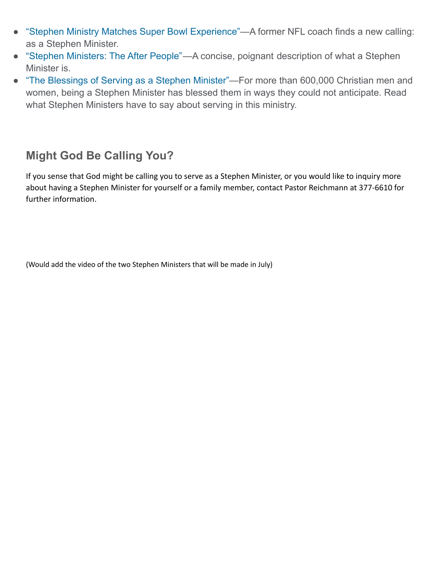- "Stephen Ministry Matches Super Bowl [Experience"—](https://www.stephenministries.org/ssdownload/pdf_counters/SuperBowl.cfm)A former NFL coach finds a new calling: as a Stephen Minister.
- "Stephen [Ministers:](https://www.stephenministries.org/ssdownload/pdf_counters/AfterPeople.cfm) The After People"—A concise, poignant description of what a Stephen Minister is.
- "The [Blessings](https://www.stephenministries.org/ssdownload/pdf_counters/BlessingsOfServingAsSMer.cfm) of Serving as a Stephen Minister"—For more than 600,000 Christian men and women, being a Stephen Minister has blessed them in ways they could not anticipate. Read what Stephen Ministers have to say about serving in this ministry.

#### **Might God Be Calling You?**

If you sense that God might be calling you to serve as a Stephen Minister, or you would like to inquiry more about having a Stephen Minister for yourself or a family member, contact Pastor Reichmann at 377-6610 for further information.

(Would add the video of the two Stephen Ministers that will be made in July)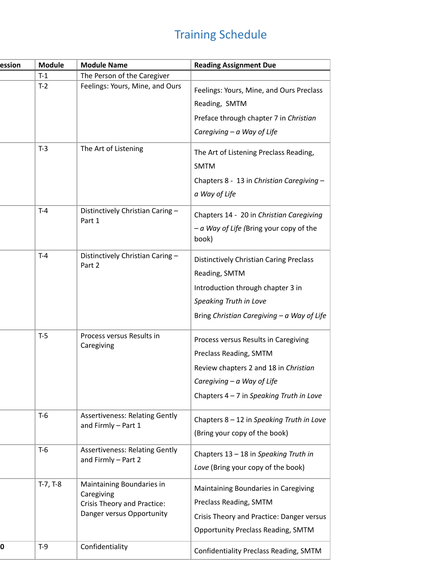# Training Schedule

| ession | <b>Module</b> | <b>Module Name</b>                                                                                  | <b>Reading Assignment Due</b>                                                                                                                            |
|--------|---------------|-----------------------------------------------------------------------------------------------------|----------------------------------------------------------------------------------------------------------------------------------------------------------|
|        | $T-1$         | The Person of the Caregiver                                                                         |                                                                                                                                                          |
|        | $T-2$         | Feelings: Yours, Mine, and Ours                                                                     | Feelings: Yours, Mine, and Ours Preclass                                                                                                                 |
|        |               |                                                                                                     | Reading, SMTM                                                                                                                                            |
|        |               |                                                                                                     | Preface through chapter 7 in Christian                                                                                                                   |
|        |               |                                                                                                     | Caregiving $-a$ Way of Life                                                                                                                              |
|        | $T-3$         | The Art of Listening                                                                                | The Art of Listening Preclass Reading,<br><b>SMTM</b>                                                                                                    |
|        |               |                                                                                                     | Chapters 8 - 13 in Christian Caregiving -<br>a Way of Life                                                                                               |
|        | $T-4$         | Distinctively Christian Caring -<br>Part 1                                                          | Chapters 14 - 20 in Christian Caregiving<br>- a Way of Life (Bring your copy of the<br>book)                                                             |
|        | $T-4$         | Distinctively Christian Caring -<br>Part 2                                                          | <b>Distinctively Christian Caring Preclass</b><br>Reading, SMTM                                                                                          |
|        |               |                                                                                                     | Introduction through chapter 3 in<br>Speaking Truth in Love                                                                                              |
|        |               |                                                                                                     | Bring Christian Caregiving $-a$ Way of Life                                                                                                              |
|        | $T-5$         | Process versus Results in<br>Caregiving                                                             | Process versus Results in Caregiving<br>Preclass Reading, SMTM                                                                                           |
|        |               |                                                                                                     | Review chapters 2 and 18 in Christian                                                                                                                    |
|        |               |                                                                                                     | Caregiving $-a$ Way of Life                                                                                                                              |
|        |               |                                                                                                     | Chapters $4 - 7$ in Speaking Truth in Love                                                                                                               |
|        | $T-6$         | <b>Assertiveness: Relating Gently</b><br>and Firmly - Part 1                                        | Chapters 8 - 12 in Speaking Truth in Love<br>(Bring your copy of the book)                                                                               |
|        | $T-6$         | <b>Assertiveness: Relating Gently</b><br>and Firmly - Part 2                                        | Chapters 13 - 18 in Speaking Truth in<br>Love (Bring your copy of the book)                                                                              |
|        | $T-7, T-8$    | Maintaining Boundaries in<br>Caregiving<br>Crisis Theory and Practice:<br>Danger versus Opportunity | Maintaining Boundaries in Caregiving<br>Preclass Reading, SMTM<br>Crisis Theory and Practice: Danger versus<br><b>Opportunity Preclass Reading, SMTM</b> |
| 0      | $T-9$         | Confidentiality                                                                                     | Confidentiality Preclass Reading, SMTM                                                                                                                   |